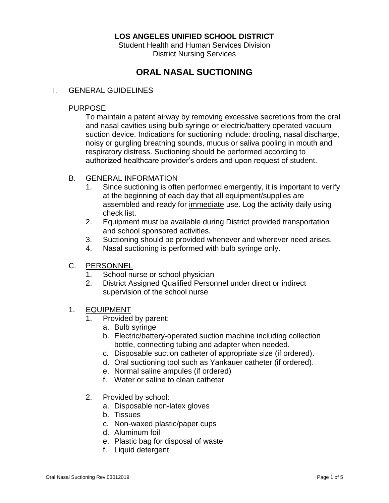## **LOS ANGELES UNIFIED SCHOOL DISTRICT**

Student Health and Human Services Division District Nursing Services

# **ORAL NASAL SUCTIONING**

#### I. GENERAL GUIDELINES

#### PURPOSE

To maintain a patent airway by removing excessive secretions from the oral and nasal cavities using bulb syringe or electric/battery operated vacuum suction device. Indications for suctioning include: drooling, nasal discharge, noisy or gurgling breathing sounds, mucus or saliva pooling in mouth and respiratory distress. Suctioning should be performed according to authorized healthcare provider's orders and upon request of student.

#### B. GENERAL INFORMATION

- 1. Since suctioning is often performed emergently, it is important to verify at the beginning of each day that all equipment/supplies are assembled and ready for immediate use. Log the activity daily using check list.
- 2. Equipment must be available during District provided transportation and school sponsored activities.
- 3. Suctioning should be provided whenever and wherever need arises.
- 4. Nasal suctioning is performed with bulb syringe only.
- C. PERSONNEL
	- 1. School nurse or school physician
	- 2. District Assigned Qualified Personnel under direct or indirect supervision of the school nurse
- 1. EQUIPMENT
	- 1. Provided by parent:
		- a. Bulb syringe
		- b. Electric/battery-operated suction machine including collection bottle, connecting tubing and adapter when needed.
		- c. Disposable suction catheter of appropriate size (if ordered).
		- d. Oral suctioning tool such as Yankauer catheter (if ordered).
		- e. Normal saline ampules (if ordered)
		- f. Water or saline to clean catheter
	- 2. Provided by school:
		- a. Disposable non-latex gloves
		- b. Tissues
		- c. Non-waxed plastic/paper cups
		- d. Aluminum foil
		- e. Plastic bag for disposal of waste
		- f. Liquid detergent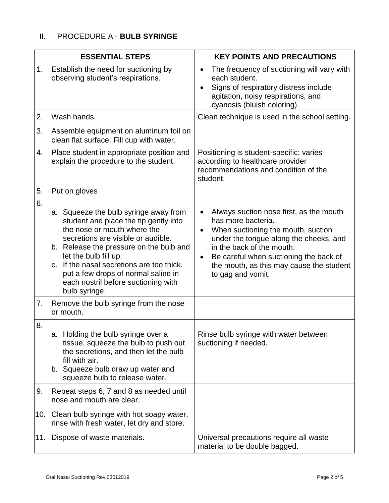| <b>ESSENTIAL STEPS</b> |                                                                                                                                                                                                                                                                                                                                                                     | <b>KEY POINTS AND PRECAUTIONS</b>                                                                                                                                                                                                                                                                  |
|------------------------|---------------------------------------------------------------------------------------------------------------------------------------------------------------------------------------------------------------------------------------------------------------------------------------------------------------------------------------------------------------------|----------------------------------------------------------------------------------------------------------------------------------------------------------------------------------------------------------------------------------------------------------------------------------------------------|
| 1.                     | Establish the need for suctioning by<br>observing student's respirations.                                                                                                                                                                                                                                                                                           | The frequency of suctioning will vary with<br>$\bullet$<br>each student.<br>Signs of respiratory distress include<br>agitation, noisy respirations, and<br>cyanosis (bluish coloring).                                                                                                             |
| 2.                     | Wash hands.                                                                                                                                                                                                                                                                                                                                                         | Clean technique is used in the school setting.                                                                                                                                                                                                                                                     |
| 3.                     | Assemble equipment on aluminum foil on<br>clean flat surface. Fill cup with water.                                                                                                                                                                                                                                                                                  |                                                                                                                                                                                                                                                                                                    |
| 4.                     | Place student in appropriate position and<br>explain the procedure to the student.                                                                                                                                                                                                                                                                                  | Positioning is student-specific; varies<br>according to healthcare provider<br>recommendations and condition of the<br>student.                                                                                                                                                                    |
| 5.                     | Put on gloves                                                                                                                                                                                                                                                                                                                                                       |                                                                                                                                                                                                                                                                                                    |
| 6.                     | a. Squeeze the bulb syringe away from<br>student and place the tip gently into<br>the nose or mouth where the<br>secretions are visible or audible.<br>b. Release the pressure on the bulb and<br>let the bulb fill up.<br>c. If the nasal secretions are too thick,<br>put a few drops of normal saline in<br>each nostril before suctioning with<br>bulb syringe. | Always suction nose first, as the mouth<br>has more bacteria.<br>When suctioning the mouth, suction<br>under the tongue along the cheeks, and<br>in the back of the mouth.<br>Be careful when suctioning the back of<br>$\bullet$<br>the mouth, as this may cause the student<br>to gag and vomit. |
| 7.                     | Remove the bulb syringe from the nose<br>or mouth.                                                                                                                                                                                                                                                                                                                  |                                                                                                                                                                                                                                                                                                    |
| 8.                     | a. Holding the bulb syringe over a<br>tissue, squeeze the bulb to push out<br>the secretions, and then let the bulb<br>fill with air.<br>b. Squeeze bulb draw up water and<br>squeeze bulb to release water.                                                                                                                                                        | Rinse bulb syringe with water between<br>suctioning if needed.                                                                                                                                                                                                                                     |
| 9.                     | Repeat steps 6, 7 and 8 as needed until<br>nose and mouth are clear.                                                                                                                                                                                                                                                                                                |                                                                                                                                                                                                                                                                                                    |
|                        | 10. Clean bulb syringe with hot soapy water,<br>rinse with fresh water, let dry and store.                                                                                                                                                                                                                                                                          |                                                                                                                                                                                                                                                                                                    |
| 11.                    | Dispose of waste materials.                                                                                                                                                                                                                                                                                                                                         | Universal precautions require all waste<br>material to be double bagged.                                                                                                                                                                                                                           |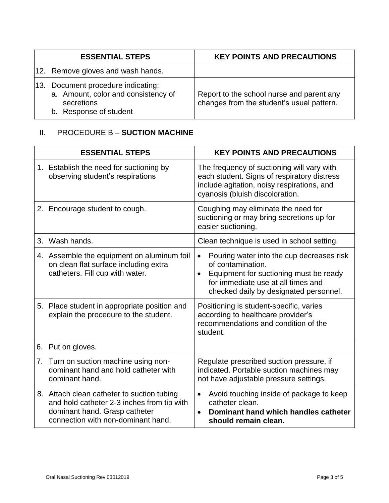| <b>ESSENTIAL STEPS</b>                                                                                            | <b>KEY POINTS AND PRECAUTIONS</b>                                                      |
|-------------------------------------------------------------------------------------------------------------------|----------------------------------------------------------------------------------------|
| 12. Remove gloves and wash hands.                                                                                 |                                                                                        |
| 13. Document procedure indicating:<br>a. Amount, color and consistency of<br>secretions<br>b. Response of student | Report to the school nurse and parent any<br>changes from the student's usual pattern. |

# II. PROCEDURE B – **SUCTION MACHINE**

| <b>ESSENTIAL STEPS</b> |                                                                                                                                                                 | <b>KEY POINTS AND PRECAUTIONS</b>                                                                                                                                                                                  |
|------------------------|-----------------------------------------------------------------------------------------------------------------------------------------------------------------|--------------------------------------------------------------------------------------------------------------------------------------------------------------------------------------------------------------------|
|                        | 1. Establish the need for suctioning by<br>observing student's respirations                                                                                     | The frequency of suctioning will vary with<br>each student. Signs of respiratory distress<br>include agitation, noisy respirations, and<br>cyanosis (bluish discoloration.                                         |
|                        | 2. Encourage student to cough.                                                                                                                                  | Coughing may eliminate the need for<br>suctioning or may bring secretions up for<br>easier suctioning.                                                                                                             |
|                        | 3. Wash hands.                                                                                                                                                  | Clean technique is used in school setting.                                                                                                                                                                         |
|                        | 4. Assemble the equipment on aluminum foil<br>on clean flat surface including extra<br>catheters. Fill cup with water.                                          | Pouring water into the cup decreases risk<br>$\bullet$<br>of contamination.<br>Equipment for suctioning must be ready<br>$\bullet$<br>for immediate use at all times and<br>checked daily by designated personnel. |
|                        | 5. Place student in appropriate position and<br>explain the procedure to the student.                                                                           | Positioning is student-specific, varies<br>according to healthcare provider's<br>recommendations and condition of the<br>student.                                                                                  |
| 6.                     | Put on gloves.                                                                                                                                                  |                                                                                                                                                                                                                    |
|                        | 7. Turn on suction machine using non-<br>dominant hand and hold catheter with<br>dominant hand.                                                                 | Regulate prescribed suction pressure, if<br>indicated. Portable suction machines may<br>not have adjustable pressure settings.                                                                                     |
|                        | 8. Attach clean catheter to suction tubing<br>and hold catheter 2-3 inches from tip with<br>dominant hand. Grasp catheter<br>connection with non-dominant hand. | Avoid touching inside of package to keep<br>$\bullet$<br>catheter clean.<br>Dominant hand which handles catheter<br>$\bullet$<br>should remain clean.                                                              |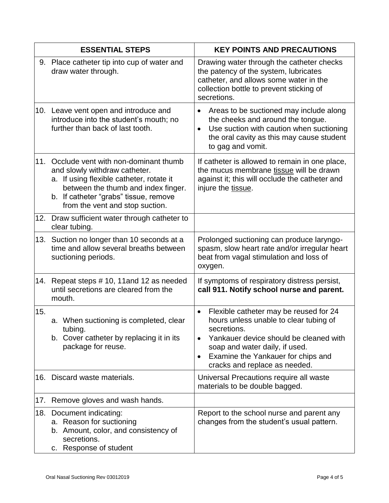|     | <b>ESSENTIAL STEPS</b>                                                                                                                                                                                                                   | <b>KEY POINTS AND PRECAUTIONS</b>                                                                                                                                                                                                                                                         |
|-----|------------------------------------------------------------------------------------------------------------------------------------------------------------------------------------------------------------------------------------------|-------------------------------------------------------------------------------------------------------------------------------------------------------------------------------------------------------------------------------------------------------------------------------------------|
|     | 9. Place catheter tip into cup of water and<br>draw water through.                                                                                                                                                                       | Drawing water through the catheter checks<br>the patency of the system, lubricates<br>catheter, and allows some water in the<br>collection bottle to prevent sticking of<br>secretions.                                                                                                   |
|     | 10. Leave vent open and introduce and<br>introduce into the student's mouth; no<br>further than back of last tooth.                                                                                                                      | Areas to be suctioned may include along<br>$\bullet$<br>the cheeks and around the tongue.<br>Use suction with caution when suctioning<br>$\bullet$<br>the oral cavity as this may cause student<br>to gag and vomit.                                                                      |
|     | 11. Occlude vent with non-dominant thumb<br>and slowly withdraw catheter.<br>a. If using flexible catheter, rotate it<br>between the thumb and index finger.<br>b. If catheter "grabs" tissue, remove<br>from the vent and stop suction. | If catheter is allowed to remain in one place,<br>the mucus membrane tissue will be drawn<br>against it; this will occlude the catheter and<br>injure the tissue.                                                                                                                         |
| 12. | Draw sufficient water through catheter to<br>clear tubing.                                                                                                                                                                               |                                                                                                                                                                                                                                                                                           |
|     | 13. Suction no longer than 10 seconds at a<br>time and allow several breaths between<br>suctioning periods.                                                                                                                              | Prolonged suctioning can produce laryngo-<br>spasm, slow heart rate and/or irregular heart<br>beat from vagal stimulation and loss of<br>oxygen.                                                                                                                                          |
| 14. | Repeat steps # 10, 11 and 12 as needed<br>until secretions are cleared from the<br>mouth.                                                                                                                                                | If symptoms of respiratory distress persist,<br>call 911. Notify school nurse and parent.                                                                                                                                                                                                 |
| 15. | a. When suctioning is completed, clear<br>tubing.<br>b. Cover catheter by replacing it in its<br>package for reuse.                                                                                                                      | Flexible catheter may be reused for 24<br>$\bullet$<br>hours unless unable to clear tubing of<br>secretions.<br>Yankauer device should be cleaned with<br>$\bullet$<br>soap and water daily, if used.<br>Examine the Yankauer for chips and<br>$\bullet$<br>cracks and replace as needed. |
| 16. | Discard waste materials.                                                                                                                                                                                                                 | Universal Precautions require all waste<br>materials to be double bagged.                                                                                                                                                                                                                 |
| 17. | Remove gloves and wash hands.                                                                                                                                                                                                            |                                                                                                                                                                                                                                                                                           |
| 18. | Document indicating:<br>a. Reason for suctioning<br>b. Amount, color, and consistency of<br>secretions.<br>c. Response of student                                                                                                        | Report to the school nurse and parent any<br>changes from the student's usual pattern.                                                                                                                                                                                                    |